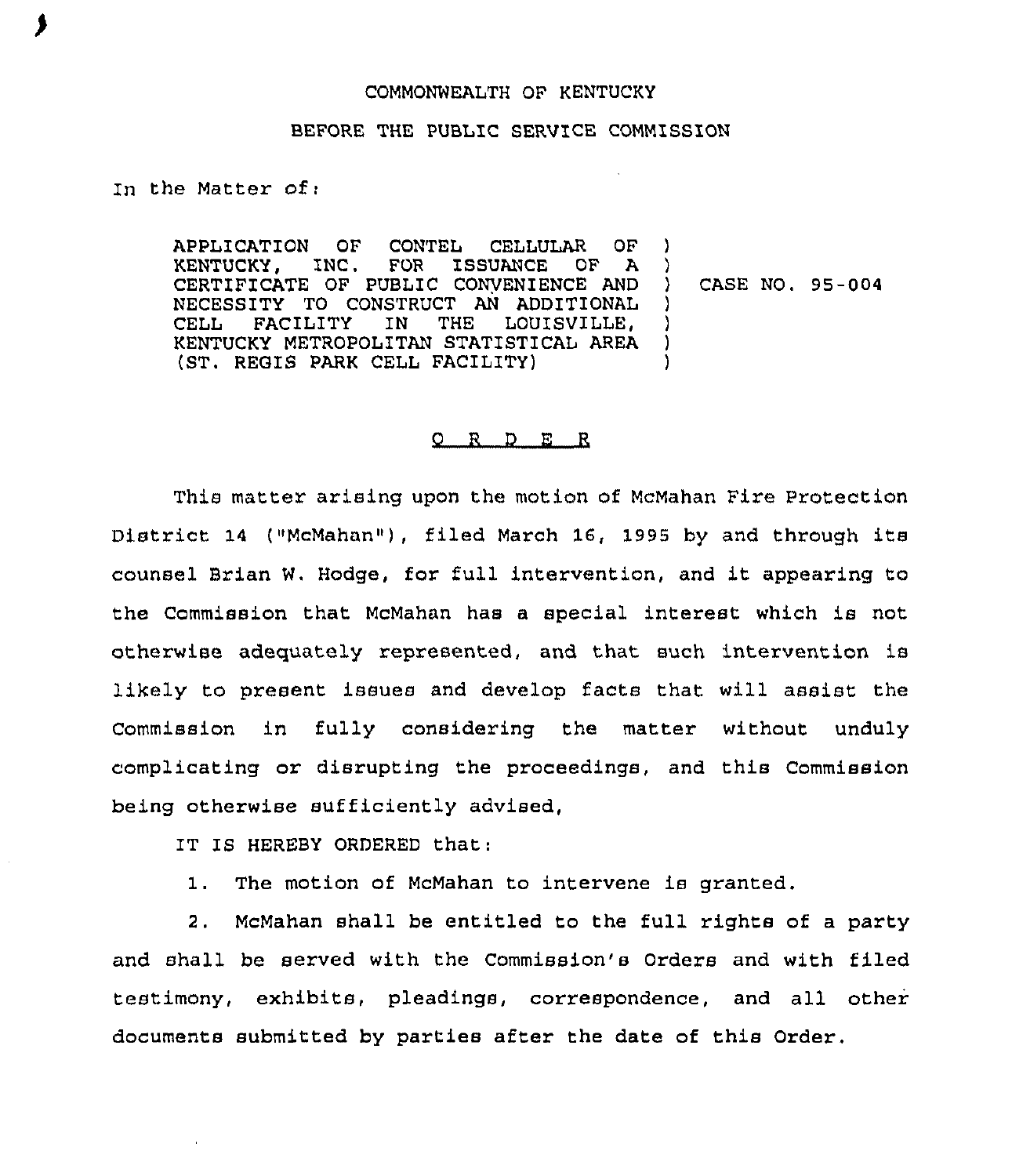## COMMONWEALTH OF KENTUCKY

## BEFORE THE PUBLIC SERVICE COMMISSION

In the Matter of:

APPLICATION OF CONTEL CELLULAR OF<br>KENTUCKY, INC. FOR ISSUANCE OF A FOR ISSUANCE CERTIFICATE OF PUBLIC CONVENIENCE AND NECESSITY TO CONSTRUCT AN ADDITIONAL<br>CELL FACILITY IN THE LOUISVILLE. LOUISVILLE, KENTUCKY METROPOLITAN STATISTICAL AREA (ST. REGIS PARK CELL FACILITY) ) ) ) ) ) )

) CASE NO. 95-004

## O R D E R

This matter arising upon the motion of McMahan Fire Protection District <sup>14</sup> ("McMahan"), filed March 16, 1995 by and through its counsel Brian W. Hodge, for full intervention, and it appearing to the Commission that McMahan has a special interest which is not otherwise adequately represented, and that such intervention is likely to present issues and develop facts that will assist the Commission in fully considexing the matter without unduly complicating or disrupting the proceedings, and this Commission being otherwise sufficiently advised,

IT IS HEREBY ORDERED that:

1. The motion of McMahan to intervene is granted.

2. McMahan shall be entitled to the full rights of a party and shall be served with the Commission's Orders and with filed testimony, exhibits, pleadings, correspondence, and all other documents submitted by parties after the date of this Order.